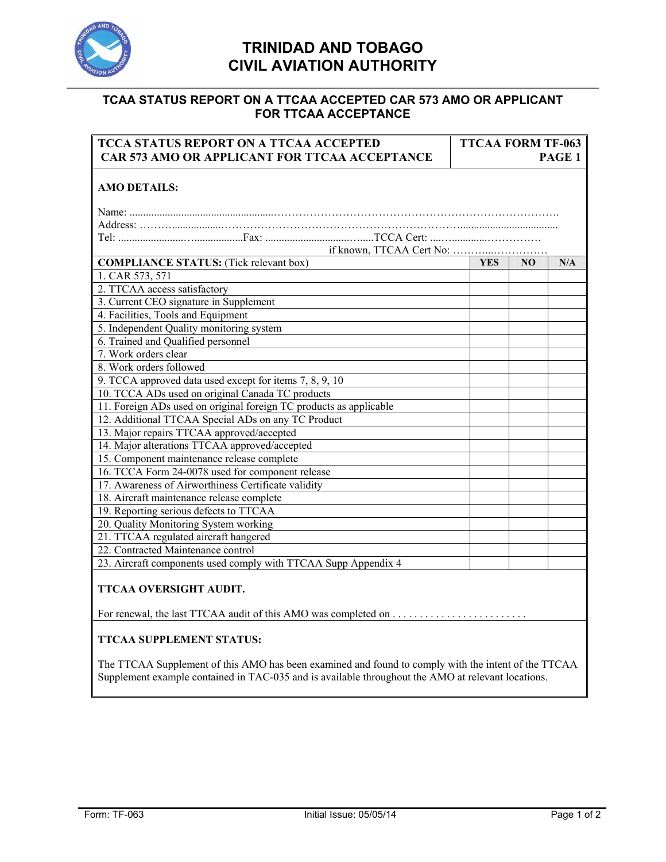

## **TRINIDAD AND TOBAGO CIVIL AVIATION AUTHORITY**

## **TCAA STATUS REPORT ON A TTCAA ACCEPTED CAR 573 AMO OR APPLICANT FOR TTCAA ACCEPTANCE**

| <b>TCCA STATUS REPORT ON A TTCAA ACCEPTED</b>                                                       | <b>TTCAA FORM TF-063</b> |    |        |
|-----------------------------------------------------------------------------------------------------|--------------------------|----|--------|
| CAR 573 AMO OR APPLICANT FOR TTCAA ACCEPTANCE                                                       |                          |    | PAGE 1 |
| <b>AMO DETAILS:</b>                                                                                 |                          |    |        |
|                                                                                                     |                          |    |        |
|                                                                                                     |                          |    |        |
|                                                                                                     |                          |    |        |
|                                                                                                     |                          |    |        |
| <b>COMPLIANCE STATUS:</b> (Tick relevant box)                                                       | <b>YES</b>               | NO | N/A    |
| 1. CAR 573, 571                                                                                     |                          |    |        |
| 2. TTCAA access satisfactory                                                                        |                          |    |        |
| 3. Current CEO signature in Supplement                                                              |                          |    |        |
| 4. Facilities, Tools and Equipment                                                                  |                          |    |        |
| 5. Independent Quality monitoring system                                                            |                          |    |        |
| 6. Trained and Qualified personnel                                                                  |                          |    |        |
| 7. Work orders clear                                                                                |                          |    |        |
| 8. Work orders followed                                                                             |                          |    |        |
| 9. TCCA approved data used except for items 7, 8, 9, 10                                             |                          |    |        |
| 10. TCCA ADs used on original Canada TC products                                                    |                          |    |        |
| 11. Foreign ADs used on original foreign TC products as applicable                                  |                          |    |        |
| 12. Additional TTCAA Special ADs on any TC Product                                                  |                          |    |        |
| 13. Major repairs TTCAA approved/accepted                                                           |                          |    |        |
| 14. Major alterations TTCAA approved/accepted                                                       |                          |    |        |
| 15. Component maintenance release complete                                                          |                          |    |        |
| 16. TCCA Form 24-0078 used for component release                                                    |                          |    |        |
| 17. Awareness of Airworthiness Certificate validity                                                 |                          |    |        |
| 18. Aircraft maintenance release complete                                                           |                          |    |        |
| 19. Reporting serious defects to TTCAA                                                              |                          |    |        |
| 20. Quality Monitoring System working                                                               |                          |    |        |
| 21. TTCAA regulated aircraft hangered                                                               |                          |    |        |
| 22. Contracted Maintenance control                                                                  |                          |    |        |
| 23. Aircraft components used comply with TTCAA Supp Appendix 4                                      |                          |    |        |
| TTCAA OVERSIGHT AUDIT.                                                                              |                          |    |        |
|                                                                                                     |                          |    |        |
| <b>TTCAA SUPPLEMENT STATUS:</b>                                                                     |                          |    |        |
| The TTCAA Supplement of this AMO has been examined and found to comply with the intent of the TTCAA |                          |    |        |
| Supplement example contained in TAC-035 and is available throughout the AMO at relevant locations.  |                          |    |        |
|                                                                                                     |                          |    |        |